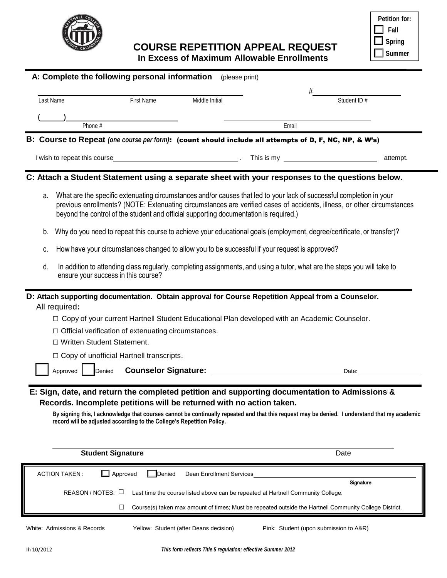

**COURSE REPETITION APPEAL REQUEST**

| <b>Petition for:</b> |
|----------------------|
| Fall                 |
| <b>Spring</b>        |
| <b>Summer</b>        |

| Last Name                 | <b>First Name</b>                                                                                                                             | Middle Initial |                                                                                                                                                                                                                                                                                                                                          | Student ID # |
|---------------------------|-----------------------------------------------------------------------------------------------------------------------------------------------|----------------|------------------------------------------------------------------------------------------------------------------------------------------------------------------------------------------------------------------------------------------------------------------------------------------------------------------------------------------|--------------|
|                           |                                                                                                                                               |                |                                                                                                                                                                                                                                                                                                                                          |              |
|                           | Phone #                                                                                                                                       |                | Email                                                                                                                                                                                                                                                                                                                                    |              |
|                           |                                                                                                                                               |                | B: Course to Repeat (one course per form): (count should include all attempts of D, F, NC, NP, & W's)                                                                                                                                                                                                                                    |              |
|                           |                                                                                                                                               |                |                                                                                                                                                                                                                                                                                                                                          |              |
|                           |                                                                                                                                               |                |                                                                                                                                                                                                                                                                                                                                          | attempt.     |
|                           |                                                                                                                                               |                | C: Attach a Student Statement using a separate sheet with your responses to the questions below.                                                                                                                                                                                                                                         |              |
| а.                        |                                                                                                                                               |                | What are the specific extenuating circumstances and/or causes that led to your lack of successful completion in your<br>previous enrollments? (NOTE: Extenuating circumstances are verified cases of accidents, illness, or other circumstances<br>beyond the control of the student and official supporting documentation is required.) |              |
| b.                        |                                                                                                                                               |                | Why do you need to repeat this course to achieve your educational goals (employment, degree/certificate, or transfer)?                                                                                                                                                                                                                   |              |
| c.                        |                                                                                                                                               |                | How have your circumstances changed to allow you to be successful if your request is approved?                                                                                                                                                                                                                                           |              |
| d.                        | ensure your success in this course?                                                                                                           |                | In addition to attending class regularly, completing assignments, and using a tutor, what are the steps you will take to                                                                                                                                                                                                                 |              |
|                           |                                                                                                                                               |                | D: Attach supporting documentation. Obtain approval for Course Repetition Appeal from a Counselor.<br>□ Copy of your current Hartnell Student Educational Plan developed with an Academic Counselor.                                                                                                                                     |              |
|                           | $\Box$ Official verification of extenuating circumstances.<br>□ Written Student Statement.<br>$\Box$ Copy of unofficial Hartnell transcripts. |                |                                                                                                                                                                                                                                                                                                                                          |              |
| All required:<br>Approved | Denied                                                                                                                                        |                |                                                                                                                                                                                                                                                                                                                                          |              |
|                           | record will be adjusted according to the College's Repetition Policy.                                                                         |                | E: Sign, date, and return the completed petition and supporting documentation to Admissions &<br>Records. Incomplete petitions will be returned with no action taken.<br>By signing this, I acknowledge that courses cannot be continually repeated and that this request may be denied. I understand that my academic                   |              |
|                           | <b>Student Signature</b>                                                                                                                      |                |                                                                                                                                                                                                                                                                                                                                          | Date         |
| <b>ACTION TAKEN:</b>      | Approved<br>$\blacksquare$                                                                                                                    | Denied         | Dean Enrollment Services                                                                                                                                                                                                                                                                                                                 |              |
|                           | REASON / NOTES: L                                                                                                                             |                | Last time the course listed above can be repeated at Hartnell Community College.                                                                                                                                                                                                                                                         | Signature    |